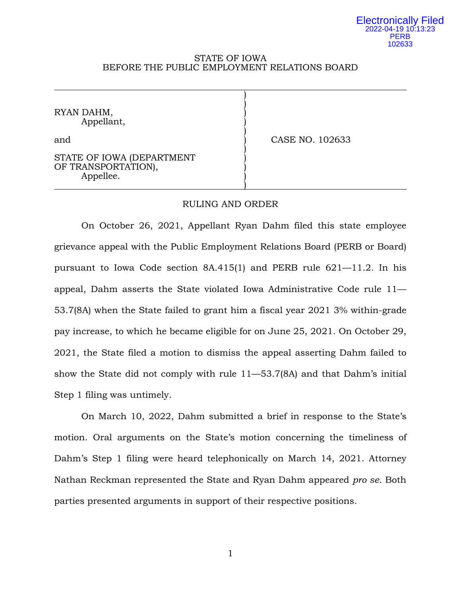#### Electronically Filed 2022-04-19 10:13:23 PERB 102633

#### STATE OF IOWA BEFORE THE PUBLIC EMPLOYMENT RELATIONS BOARD

) )

)

)

RYAN DAHM, ) Appellant, )

and **)** CASE NO. 102633

### STATE OF IOWA (DEPARTMENT OF TRANSPORTATION), Appellee.

# RULING AND ORDER

On October 26, 2021, Appellant Ryan Dahm filed this state employee grievance appeal with the Public Employment Relations Board (PERB or Board) pursuant to Iowa Code section  $8A.415(1)$  and PERB rule  $621-11.2$ . In his appeal, Dahm asserts the State violated Iowa Administrative Code rule 11— 53.7(8A) when the State failed to grant him a fiscal year 2021 3% within-grade pay increase, to which he became eligible for on June 25, 2021. On October 29, 2021, the State filed a motion to dismiss the appeal asserting Dahm failed to show the State did not comply with rule 11—53.7(8A) and that Dahm's initial Step 1 filing was untimely.

On March 10, 2022, Dahm submitted a brief in response to the State's motion. Oral arguments on the State's motion concerning the timeliness of Dahm's Step 1 filing were heard telephonically on March 14, 2021. Attorney Nathan Reckman represented the State and Ryan Dahm appeared *pro se*. Both parties presented arguments in support of their respective positions.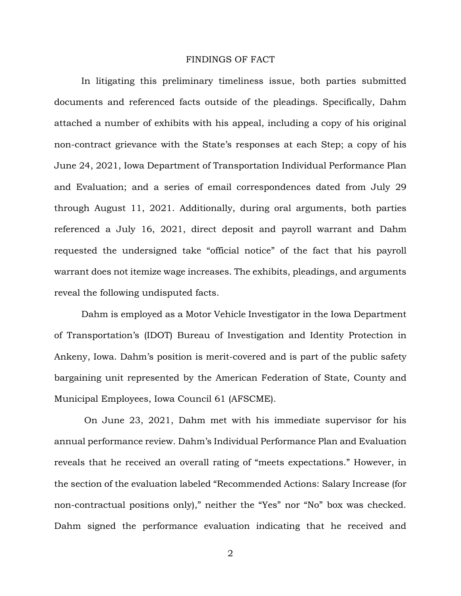### FINDINGS OF FACT

In litigating this preliminary timeliness issue, both parties submitted documents and referenced facts outside of the pleadings. Specifically, Dahm attached a number of exhibits with his appeal, including a copy of his original non-contract grievance with the State's responses at each Step; a copy of his June 24, 2021, Iowa Department of Transportation Individual Performance Plan and Evaluation; and a series of email correspondences dated from July 29 through August 11, 2021. Additionally, during oral arguments, both parties referenced a July 16, 2021, direct deposit and payroll warrant and Dahm requested the undersigned take "official notice" of the fact that his payroll warrant does not itemize wage increases. The exhibits, pleadings, and arguments reveal the following undisputed facts.

Dahm is employed as a Motor Vehicle Investigator in the Iowa Department of Transportation's (IDOT) Bureau of Investigation and Identity Protection in Ankeny, Iowa. Dahm's position is merit-covered and is part of the public safety bargaining unit represented by the American Federation of State, County and Municipal Employees, Iowa Council 61 (AFSCME).

On June 23, 2021, Dahm met with his immediate supervisor for his annual performance review. Dahm's Individual Performance Plan and Evaluation reveals that he received an overall rating of "meets expectations." However, in the section of the evaluation labeled "Recommended Actions: Salary Increase (for non-contractual positions only)," neither the "Yes" nor "No" box was checked. Dahm signed the performance evaluation indicating that he received and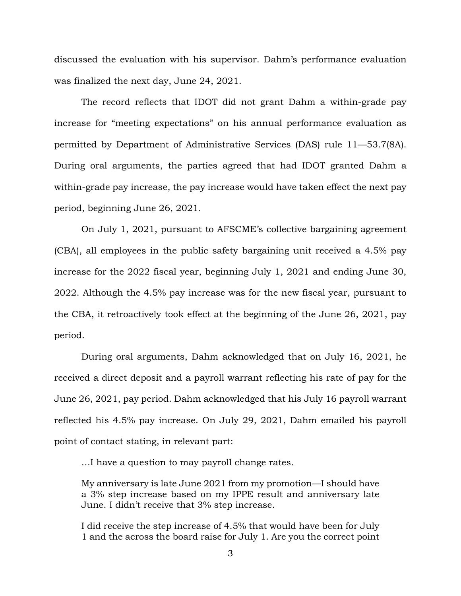discussed the evaluation with his supervisor. Dahm's performance evaluation was finalized the next day, June 24, 2021.

The record reflects that IDOT did not grant Dahm a within-grade pay increase for "meeting expectations" on his annual performance evaluation as permitted by Department of Administrative Services (DAS) rule 11—53.7(8A). During oral arguments, the parties agreed that had IDOT granted Dahm a within-grade pay increase, the pay increase would have taken effect the next pay period, beginning June 26, 2021.

On July 1, 2021, pursuant to AFSCME's collective bargaining agreement (CBA), all employees in the public safety bargaining unit received a 4.5% pay increase for the 2022 fiscal year, beginning July 1, 2021 and ending June 30, 2022. Although the 4.5% pay increase was for the new fiscal year, pursuant to the CBA, it retroactively took effect at the beginning of the June 26, 2021, pay period.

During oral arguments, Dahm acknowledged that on July 16, 2021, he received a direct deposit and a payroll warrant reflecting his rate of pay for the June 26, 2021, pay period. Dahm acknowledged that his July 16 payroll warrant reflected his 4.5% pay increase. On July 29, 2021, Dahm emailed his payroll point of contact stating, in relevant part:

…I have a question to may payroll change rates.

My anniversary is late June 2021 from my promotion—I should have a 3% step increase based on my IPPE result and anniversary late June. I didn't receive that 3% step increase.

I did receive the step increase of 4.5% that would have been for July 1 and the across the board raise for July 1. Are you the correct point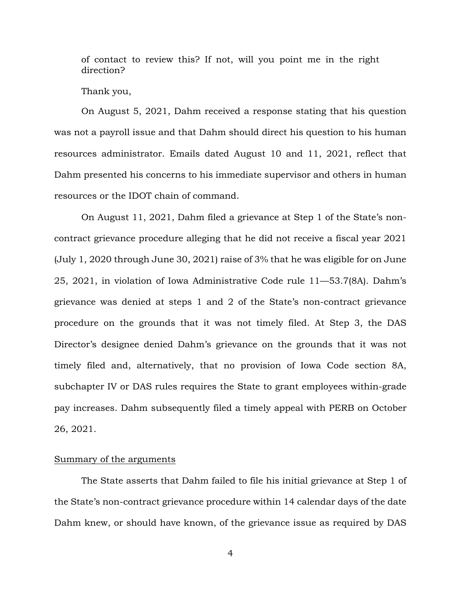of contact to review this? If not, will you point me in the right direction?

Thank you,

On August 5, 2021, Dahm received a response stating that his question was not a payroll issue and that Dahm should direct his question to his human resources administrator. Emails dated August 10 and 11, 2021, reflect that Dahm presented his concerns to his immediate supervisor and others in human resources or the IDOT chain of command.

On August 11, 2021, Dahm filed a grievance at Step 1 of the State's noncontract grievance procedure alleging that he did not receive a fiscal year 2021 (July 1, 2020 through June 30, 2021) raise of 3% that he was eligible for on June 25, 2021, in violation of Iowa Administrative Code rule 11—53.7(8A). Dahm's grievance was denied at steps 1 and 2 of the State's non-contract grievance procedure on the grounds that it was not timely filed. At Step 3, the DAS Director's designee denied Dahm's grievance on the grounds that it was not timely filed and, alternatively, that no provision of Iowa Code section 8A, subchapter IV or DAS rules requires the State to grant employees within-grade pay increases. Dahm subsequently filed a timely appeal with PERB on October 26, 2021.

# Summary of the arguments

The State asserts that Dahm failed to file his initial grievance at Step 1 of the State's non-contract grievance procedure within 14 calendar days of the date Dahm knew, or should have known, of the grievance issue as required by DAS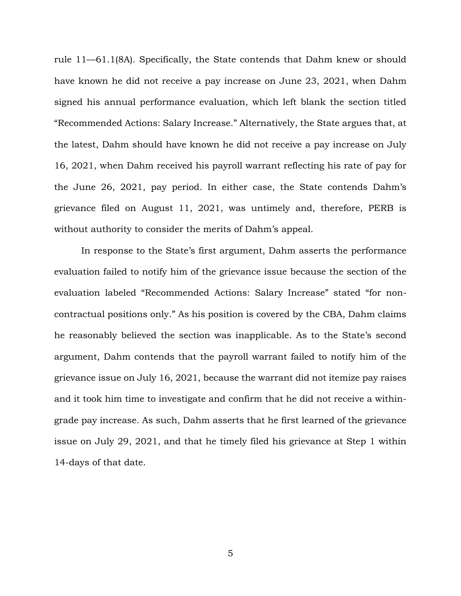rule 11—61.1(8A). Specifically, the State contends that Dahm knew or should have known he did not receive a pay increase on June 23, 2021, when Dahm signed his annual performance evaluation, which left blank the section titled "Recommended Actions: Salary Increase." Alternatively, the State argues that, at the latest, Dahm should have known he did not receive a pay increase on July 16, 2021, when Dahm received his payroll warrant reflecting his rate of pay for the June 26, 2021, pay period. In either case, the State contends Dahm's grievance filed on August 11, 2021, was untimely and, therefore, PERB is without authority to consider the merits of Dahm's appeal.

In response to the State's first argument, Dahm asserts the performance evaluation failed to notify him of the grievance issue because the section of the evaluation labeled "Recommended Actions: Salary Increase" stated "for noncontractual positions only." As his position is covered by the CBA, Dahm claims he reasonably believed the section was inapplicable. As to the State's second argument, Dahm contends that the payroll warrant failed to notify him of the grievance issue on July 16, 2021, because the warrant did not itemize pay raises and it took him time to investigate and confirm that he did not receive a withingrade pay increase. As such, Dahm asserts that he first learned of the grievance issue on July 29, 2021, and that he timely filed his grievance at Step 1 within 14-days of that date.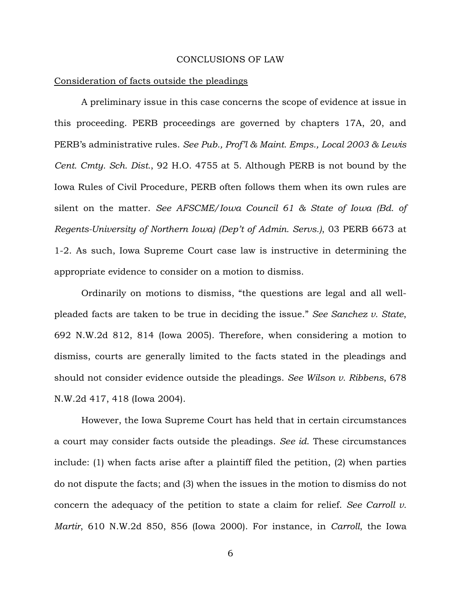#### CONCLUSIONS OF LAW

#### Consideration of facts outside the pleadings

A preliminary issue in this case concerns the scope of evidence at issue in this proceeding. PERB proceedings are governed by chapters 17A, 20, and PERB's administrative rules. *See Pub., Prof'l & Maint. Emps., Local 2003 & Lewis Cent. Cmty. Sch. Dist.*, 92 H.O. 4755 at 5. Although PERB is not bound by the Iowa Rules of Civil Procedure, PERB often follows them when its own rules are silent on the matter. *See AFSCME/Iowa Council 61 & State of Iowa (Bd. of Regents-University of Northern Iowa) (Dep't of Admin. Servs.)*, 03 PERB 6673 at 1-2. As such, Iowa Supreme Court case law is instructive in determining the appropriate evidence to consider on a motion to dismiss.

Ordinarily on motions to dismiss, "the questions are legal and all wellpleaded facts are taken to be true in deciding the issue." *See Sanchez v. State*, 692 N.W.2d 812, 814 (Iowa 2005). Therefore, when considering a motion to dismiss, courts are generally limited to the facts stated in the pleadings and should not consider evidence outside the pleadings. *See Wilson v. Ribbens*, 678 N.W.2d 417, 418 (Iowa 2004).

However, the Iowa Supreme Court has held that in certain circumstances a court may consider facts outside the pleadings. *See id*. These circumstances include: (1) when facts arise after a plaintiff filed the petition, (2) when parties do not dispute the facts; and (3) when the issues in the motion to dismiss do not concern the adequacy of the petition to state a claim for relief. *See Carroll v. Martir*, 610 N.W.2d 850, 856 (Iowa 2000). For instance, in *Carroll*, the Iowa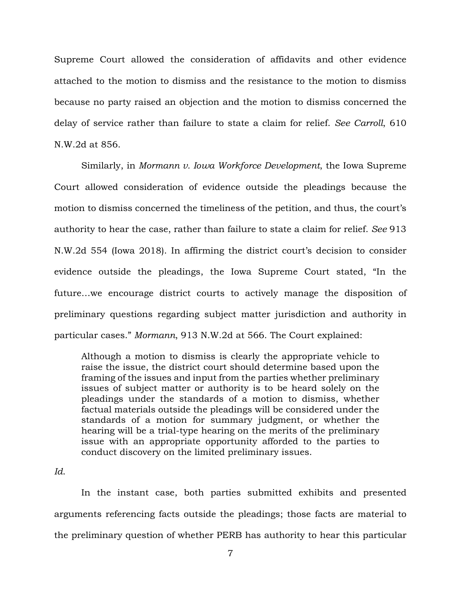Supreme Court allowed the consideration of affidavits and other evidence attached to the motion to dismiss and the resistance to the motion to dismiss because no party raised an objection and the motion to dismiss concerned the delay of service rather than failure to state a claim for relief. *See Carroll*, 610 N.W.2d at 856.

Similarly, in *Mormann v. Iowa Workforce Development*, the Iowa Supreme Court allowed consideration of evidence outside the pleadings because the motion to dismiss concerned the timeliness of the petition, and thus, the court's authority to hear the case, rather than failure to state a claim for relief. *See* 913 N.W.2d 554 (Iowa 2018). In affirming the district court's decision to consider evidence outside the pleadings, the Iowa Supreme Court stated, "In the future…we encourage district courts to actively manage the disposition of preliminary questions regarding subject matter jurisdiction and authority in particular cases." *Mormann*, 913 N.W.2d at 566. The Court explained:

Although a motion to dismiss is clearly the appropriate vehicle to raise the issue, the district court should determine based upon the framing of the issues and input from the parties whether preliminary issues of subject matter or authority is to be heard solely on the pleadings under the standards of a motion to dismiss, whether factual materials outside the pleadings will be considered under the standards of a motion for summary judgment, or whether the hearing will be a trial-type hearing on the merits of the preliminary issue with an appropriate opportunity afforded to the parties to conduct discovery on the limited preliminary issues.

In the instant case, both parties submitted exhibits and presented arguments referencing facts outside the pleadings; those facts are material to the preliminary question of whether PERB has authority to hear this particular

*Id*.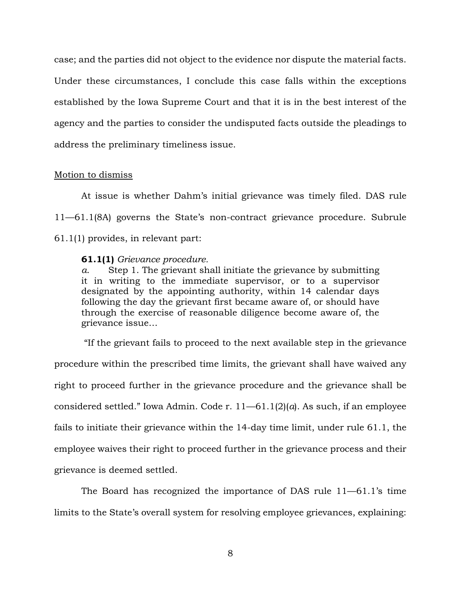case; and the parties did not object to the evidence nor dispute the material facts. Under these circumstances, I conclude this case falls within the exceptions established by the Iowa Supreme Court and that it is in the best interest of the agency and the parties to consider the undisputed facts outside the pleadings to address the preliminary timeliness issue.

### Motion to dismiss

At issue is whether Dahm's initial grievance was timely filed. DAS rule 11—61.1(8A) governs the State's non-contract grievance procedure. Subrule 61.1(1) provides, in relevant part:

## **61.1(1)** *Grievance procedure.*

*a*. Step 1. The grievant shall initiate the grievance by submitting it in writing to the immediate supervisor, or to a supervisor designated by the appointing authority, within 14 calendar days following the day the grievant first became aware of, or should have through the exercise of reasonable diligence become aware of, the grievance issue…

"If the grievant fails to proceed to the next available step in the grievance procedure within the prescribed time limits, the grievant shall have waived any right to proceed further in the grievance procedure and the grievance shall be considered settled." Iowa Admin. Code r. 11—61.1(2)(*a*). As such, if an employee fails to initiate their grievance within the 14-day time limit, under rule 61.1, the employee waives their right to proceed further in the grievance process and their grievance is deemed settled.

The Board has recognized the importance of DAS rule 11—61.1's time limits to the State's overall system for resolving employee grievances, explaining: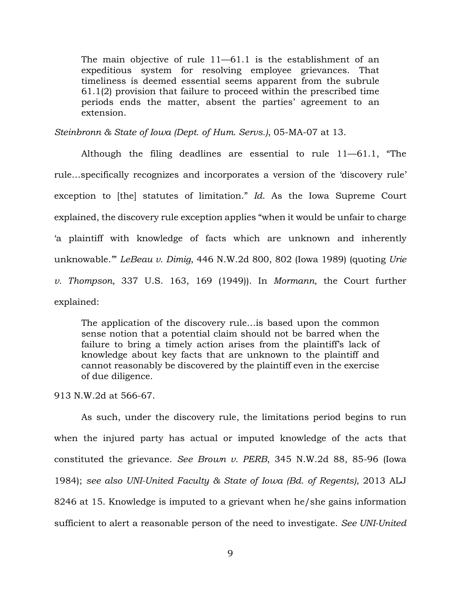The main objective of rule 11—61.1 is the establishment of an expeditious system for resolving employee grievances. That timeliness is deemed essential seems apparent from the subrule 61.1(2) provision that failure to proceed within the prescribed time periods ends the matter, absent the parties' agreement to an extension.

*Steinbronn & State of Iowa (Dept. of Hum. Servs.)*, 05-MA-07 at 13.

Although the filing deadlines are essential to rule 11—61.1, "The rule…specifically recognizes and incorporates a version of the 'discovery rule' exception to [the] statutes of limitation." *Id*. As the Iowa Supreme Court explained, the discovery rule exception applies "when it would be unfair to charge 'a plaintiff with knowledge of facts which are unknown and inherently unknowable.'" *LeBeau v. Dimig*, 446 N.W.2d 800, 802 (Iowa 1989) (quoting *Urie v. Thompson*, 337 U.S. 163, 169 (1949)). In *Mormann*, the Court further explained:

The application of the discovery rule…is based upon the common sense notion that a potential claim should not be barred when the failure to bring a timely action arises from the plaintiff's lack of knowledge about key facts that are unknown to the plaintiff and cannot reasonably be discovered by the plaintiff even in the exercise of due diligence.

913 N.W.2d at 566-67.

As such, under the discovery rule, the limitations period begins to run when the injured party has actual or imputed knowledge of the acts that constituted the grievance. *See Brown v. PERB*, 345 N.W.2d 88, 85-96 (Iowa 1984); *see also UNI-United Faculty & State of Iowa (Bd. of Regents)*, 2013 ALJ 8246 at 15. Knowledge is imputed to a grievant when he/she gains information sufficient to alert a reasonable person of the need to investigate. *See UNI-United*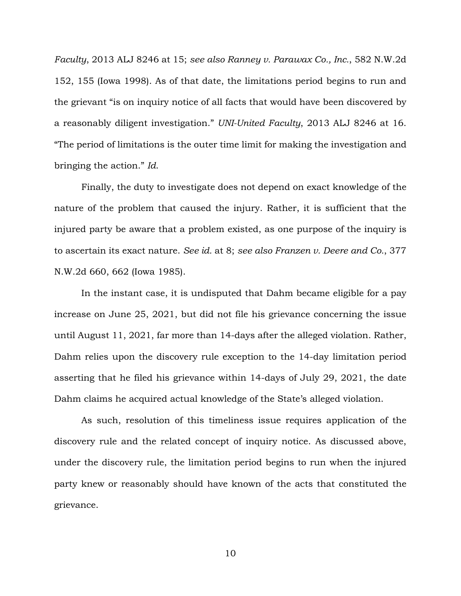*Faculty*, 2013 ALJ 8246 at 15; *see also Ranney v. Parawax Co., Inc.*, 582 N.W.2d 152, 155 (Iowa 1998). As of that date, the limitations period begins to run and the grievant "is on inquiry notice of all facts that would have been discovered by a reasonably diligent investigation." *UNI-United Faculty*, 2013 ALJ 8246 at 16. "The period of limitations is the outer time limit for making the investigation and bringing the action." *Id*.

Finally, the duty to investigate does not depend on exact knowledge of the nature of the problem that caused the injury. Rather, it is sufficient that the injured party be aware that a problem existed, as one purpose of the inquiry is to ascertain its exact nature. *See id.* at 8; *see also Franzen v. Deere and Co.*, 377 N.W.2d 660, 662 (Iowa 1985).

In the instant case, it is undisputed that Dahm became eligible for a pay increase on June 25, 2021, but did not file his grievance concerning the issue until August 11, 2021, far more than 14-days after the alleged violation. Rather, Dahm relies upon the discovery rule exception to the 14-day limitation period asserting that he filed his grievance within 14-days of July 29, 2021, the date Dahm claims he acquired actual knowledge of the State's alleged violation.

As such, resolution of this timeliness issue requires application of the discovery rule and the related concept of inquiry notice. As discussed above, under the discovery rule, the limitation period begins to run when the injured party knew or reasonably should have known of the acts that constituted the grievance.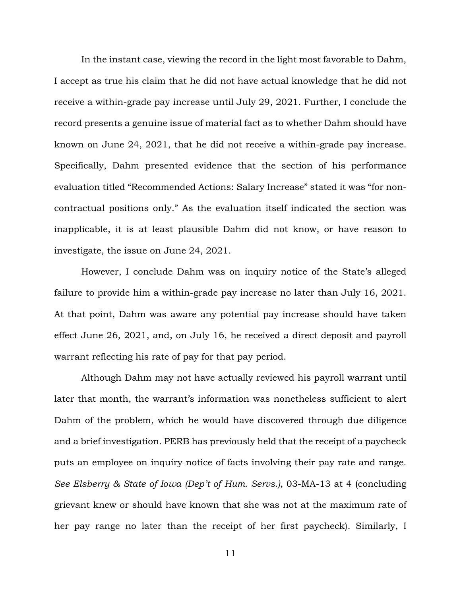In the instant case, viewing the record in the light most favorable to Dahm, I accept as true his claim that he did not have actual knowledge that he did not receive a within-grade pay increase until July 29, 2021. Further, I conclude the record presents a genuine issue of material fact as to whether Dahm should have known on June 24, 2021, that he did not receive a within-grade pay increase. Specifically, Dahm presented evidence that the section of his performance evaluation titled "Recommended Actions: Salary Increase" stated it was "for noncontractual positions only." As the evaluation itself indicated the section was inapplicable, it is at least plausible Dahm did not know, or have reason to investigate, the issue on June 24, 2021.

However, I conclude Dahm was on inquiry notice of the State's alleged failure to provide him a within-grade pay increase no later than July 16, 2021. At that point, Dahm was aware any potential pay increase should have taken effect June 26, 2021, and, on July 16, he received a direct deposit and payroll warrant reflecting his rate of pay for that pay period.

Although Dahm may not have actually reviewed his payroll warrant until later that month, the warrant's information was nonetheless sufficient to alert Dahm of the problem, which he would have discovered through due diligence and a brief investigation. PERB has previously held that the receipt of a paycheck puts an employee on inquiry notice of facts involving their pay rate and range. *See Elsberry & State of Iowa (Dep't of Hum. Servs.)*, 03-MA-13 at 4 (concluding grievant knew or should have known that she was not at the maximum rate of her pay range no later than the receipt of her first paycheck). Similarly, I